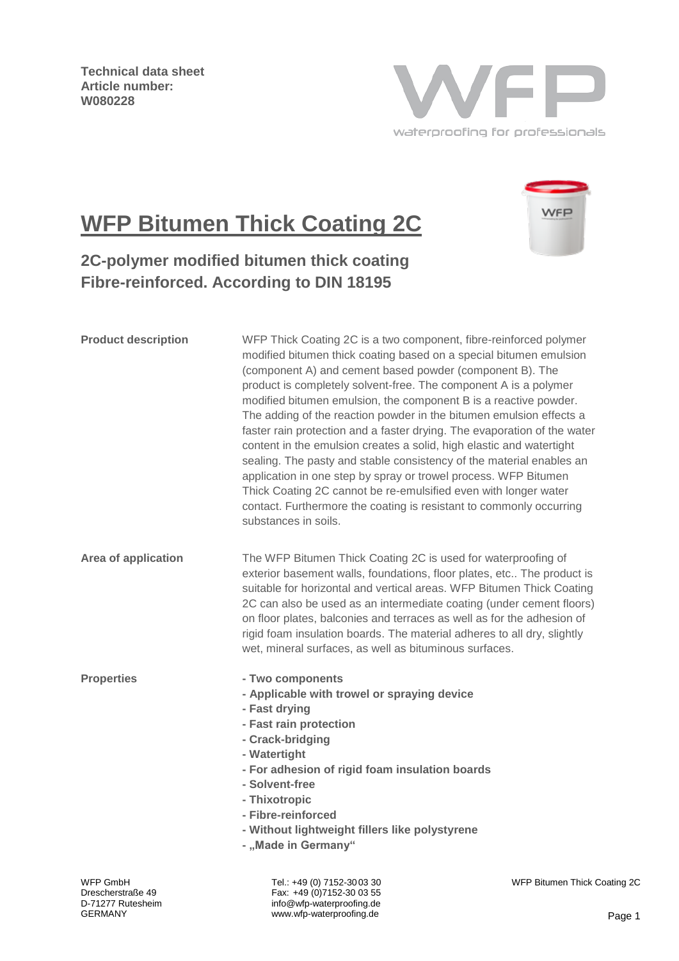**Technical data sheet Article number: W080228**



# **WFP Bitumen Thick Coating 2C**



## **2C-polymer modified bitumen thick coating Fibre-reinforced. According to DIN 18195**

| <b>Product description</b> | WFP Thick Coating 2C is a two component, fibre-reinforced polymer<br>modified bitumen thick coating based on a special bitumen emulsion<br>(component A) and cement based powder (component B). The<br>product is completely solvent-free. The component A is a polymer<br>modified bitumen emulsion, the component B is a reactive powder.<br>The adding of the reaction powder in the bitumen emulsion effects a<br>faster rain protection and a faster drying. The evaporation of the water<br>content in the emulsion creates a solid, high elastic and watertight<br>sealing. The pasty and stable consistency of the material enables an<br>application in one step by spray or trowel process. WFP Bitumen<br>Thick Coating 2C cannot be re-emulsified even with longer water<br>contact. Furthermore the coating is resistant to commonly occurring<br>substances in soils. |                     |  |
|----------------------------|-------------------------------------------------------------------------------------------------------------------------------------------------------------------------------------------------------------------------------------------------------------------------------------------------------------------------------------------------------------------------------------------------------------------------------------------------------------------------------------------------------------------------------------------------------------------------------------------------------------------------------------------------------------------------------------------------------------------------------------------------------------------------------------------------------------------------------------------------------------------------------------|---------------------|--|
| Area of application        | The WFP Bitumen Thick Coating 2C is used for waterproofing of<br>exterior basement walls, foundations, floor plates, etc The product is<br>suitable for horizontal and vertical areas. WFP Bitumen Thick Coating<br>2C can also be used as an intermediate coating (under cement floors)<br>on floor plates, balconies and terraces as well as for the adhesion of<br>rigid foam insulation boards. The material adheres to all dry, slightly<br>wet, mineral surfaces, as well as bituminous surfaces.                                                                                                                                                                                                                                                                                                                                                                             |                     |  |
| <b>Properties</b>          | - Two components<br>- Applicable with trowel or spraying device<br>- Fast drying<br>- Fast rain protection<br>- Crack-bridging<br>- Watertight<br>- For adhesion of rigid foam insulation boards<br>- Solvent-free<br>- Thixotropic<br>- Fibre-reinforced<br>- Without lightweight fillers like polystyrene<br>- "Made in Germany"                                                                                                                                                                                                                                                                                                                                                                                                                                                                                                                                                  |                     |  |
| WFP GmhH                   | _00 20∩0-152 CJ (∩) 449 AD - 1                                                                                                                                                                                                                                                                                                                                                                                                                                                                                                                                                                                                                                                                                                                                                                                                                                                      | WFP Ritumen Thick C |  |

Tel.: +49 (0) 7152-3003 30 Fax: +49 (0)7152-30 03 55 info@wfp-waterproofing.de www.wfp-waterproofing.de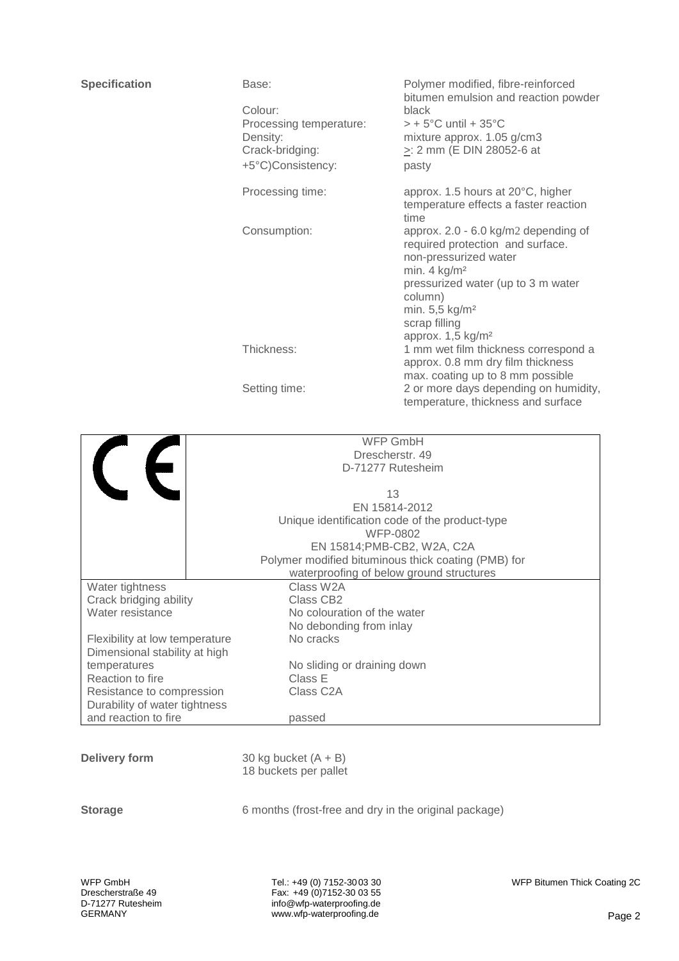| <b>Specification</b> | Base:                   | Polymer modified, fibre-reinforced<br>bitumen emulsion and reaction powder                                                                                                                                                      |  |
|----------------------|-------------------------|---------------------------------------------------------------------------------------------------------------------------------------------------------------------------------------------------------------------------------|--|
|                      | Colour:                 | black                                                                                                                                                                                                                           |  |
|                      | Processing temperature: | $>$ + 5°C until + 35°C                                                                                                                                                                                                          |  |
|                      | Density:                | mixture approx. 1.05 g/cm3                                                                                                                                                                                                      |  |
|                      | Crack-bridging:         | $\ge$ : 2 mm (E DIN 28052-6 at                                                                                                                                                                                                  |  |
|                      | +5°C)Consistency:       | pasty                                                                                                                                                                                                                           |  |
|                      | Processing time:        | approx. 1.5 hours at 20°C, higher<br>temperature effects a faster reaction<br>time                                                                                                                                              |  |
|                      | Consumption:            | approx. 2.0 - 6.0 kg/m2 depending of<br>required protection and surface.<br>non-pressurized water<br>min. $4$ kg/m <sup>2</sup><br>pressurized water (up to 3 m water<br>column)<br>min. 5,5 kg/m <sup>2</sup><br>scrap filling |  |
|                      | Thickness:              | approx. 1,5 kg/m <sup>2</sup><br>1 mm wet film thickness correspond a<br>approx. 0.8 mm dry film thickness<br>max. coating up to 8 mm possible                                                                                  |  |
|                      | Setting time:           | 2 or more days depending on humidity,<br>temperature, thickness and surface                                                                                                                                                     |  |
|                      |                         |                                                                                                                                                                                                                                 |  |
|                      | <b>WFP GmbH</b>         |                                                                                                                                                                                                                                 |  |
|                      | Drescherstr. 49         |                                                                                                                                                                                                                                 |  |

|                                | D-71277 Rutesheim |                                                     |  |
|--------------------------------|-------------------|-----------------------------------------------------|--|
|                                |                   |                                                     |  |
|                                |                   | 13                                                  |  |
|                                |                   | EN 15814-2012                                       |  |
|                                |                   | Unique identification code of the product-type      |  |
|                                |                   | WFP-0802                                            |  |
|                                |                   | EN 15814; PMB-CB2, W2A, C2A                         |  |
|                                |                   | Polymer modified bituminous thick coating (PMB) for |  |
|                                |                   | waterproofing of below ground structures            |  |
| Water tightness                |                   | Class W2A                                           |  |
| Crack bridging ability         |                   | Class CB <sub>2</sub>                               |  |
| Water resistance               |                   | No colouration of the water                         |  |
|                                |                   | No debonding from inlay                             |  |
| Flexibility at low temperature |                   | No cracks                                           |  |
| Dimensional stability at high  |                   |                                                     |  |
| temperatures                   |                   | No sliding or draining down                         |  |
| Reaction to fire               |                   | Class E                                             |  |
| Resistance to compression      |                   | Class C <sub>2</sub> A                              |  |
| Durability of water tightness  |                   |                                                     |  |
| and reaction to fire           |                   | passed                                              |  |

**Delivery form** 30 kg bucket  $(A + B)$ 18 buckets per pallet

**Storage** 6 months (frost-free and dry in the original package)